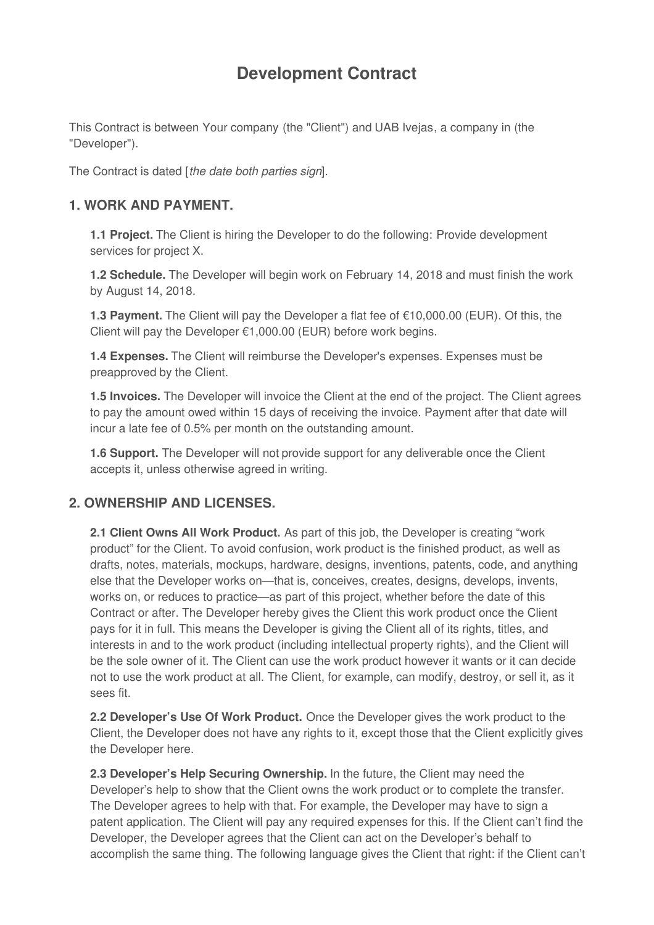# **Development Contract**

This Contract is between Your company (the "Client") and UAB Ivejas, a company in (the "Developer").

The Contract is dated [*the date both parties sign*].

### **1. WORK AND PAYMENT.**

**1.1 Project.** The Client is hiring the Developer to do the following: Provide development services for project X.

**1.2 Schedule.** The Developer will begin work on February 14, 2018 and must finish the work by August 14, 2018.

**1.3 Payment.** The Client will pay the Developer a flat fee of €10,000.00 (EUR). Of this, the Client will pay the Developer €1,000.00 (EUR) before work begins.

**1.4 Expenses.** The Client will reimburse the Developer's expenses. Expenses must be preapproved by the Client.

**1.5 Invoices.** The Developer will invoice the Client at the end of the project. The Client agrees to pay the amount owed within 15 days of receiving the invoice. Payment after that date will incur a late fee of 0.5% per month on the outstanding amount.

**1.6 Support.** The Developer will not provide support for any deliverable once the Client accepts it, unless otherwise agreed in writing.

# **2. OWNERSHIP AND LICENSES.**

**2.1 Client Owns All Work Product.** As part of this job, the Developer is creating "work product" for the Client. To avoid confusion, work product is the finished product, as well as drafts, notes, materials, mockups, hardware, designs, inventions, patents, code, and anything else that the Developer works on—that is, conceives, creates, designs, develops, invents, works on, or reduces to practice—as part of this project, whether before the date of this Contract or after. The Developer hereby gives the Client this work product once the Client pays for it in full. This means the Developer is giving the Client all of its rights, titles, and interests in and to the work product (including intellectual property rights), and the Client will be the sole owner of it. The Client can use the work product however it wants or it can decide not to use the work product at all. The Client, for example, can modify, destroy, or sell it, as it sees fit.

**2.2 Developer's Use Of Work Product.** Once the Developer gives the work product to the Client, the Developer does not have any rights to it, except those that the Client explicitly gives the Developer here.

**2.3 Developer's Help Securing Ownership.** In the future, the Client may need the Developer's help to show that the Client owns the work product or to complete the transfer. The Developer agrees to help with that. For example, the Developer may have to sign a patent application. The Client will pay any required expenses for this. If the Client can't find the Developer, the Developer agrees that the Client can act on the Developer's behalf to accomplish the same thing. The following language gives the Client that right: if the Client can't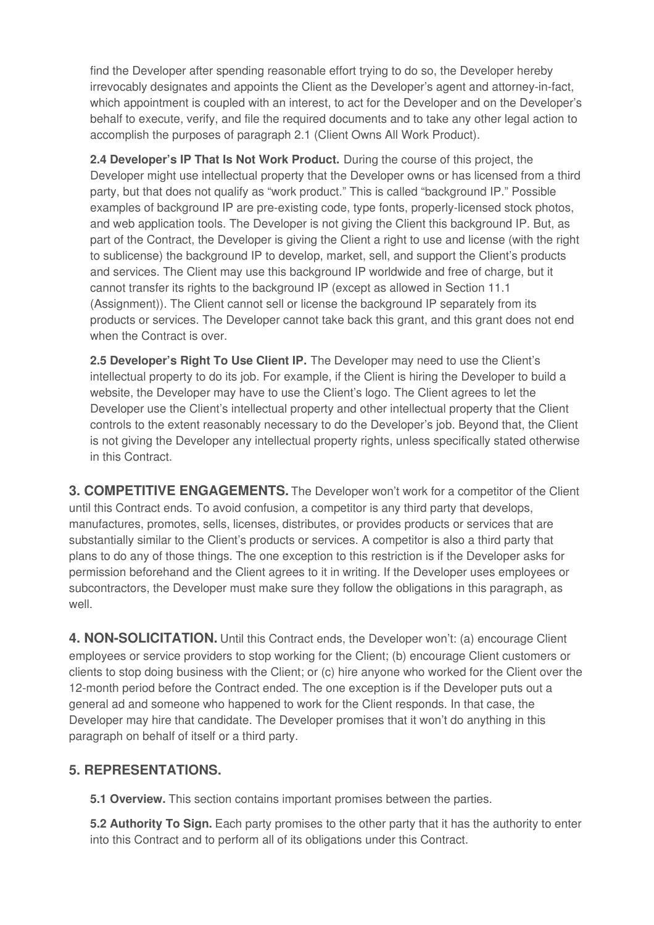find the Developer after spending reasonable effort trying to do so, the Developer hereby irrevocably designates and appoints the Client as the Developer's agent and attorney-in-fact, which appointment is coupled with an interest, to act for the Developer and on the Developer's behalf to execute, verify, and file the required documents and to take any other legal action to accomplish the purposes of paragraph 2.1 (Client Owns All Work Product).

**2.4 Developer's IP That Is Not Work Product.** During the course of this project, the Developer might use intellectual property that the Developer owns or has licensed from a third party, but that does not qualify as "work product." This is called "background IP." Possible examples of background IP are pre-existing code, type fonts, properly-licensed stock photos, and web application tools. The Developer is not giving the Client this background IP. But, as part of the Contract, the Developer is giving the Client a right to use and license (with the right to sublicense) the background IP to develop, market, sell, and support the Client's products and services. The Client may use this background IP worldwide and free of charge, but it cannot transfer its rights to the background IP (except as allowed in Section 11.1 (Assignment)). The Client cannot sell or license the background IP separately from its products or services. The Developer cannot take back this grant, and this grant does not end when the Contract is over.

**2.5 Developer's Right To Use Client IP.** The Developer may need to use the Client's intellectual property to do its job. For example, if the Client is hiring the Developer to build a website, the Developer may have to use the Client's logo. The Client agrees to let the Developer use the Client's intellectual property and other intellectual property that the Client controls to the extent reasonably necessary to do the Developer's job. Beyond that, the Client is not giving the Developer any intellectual property rights, unless specifically stated otherwise in this Contract.

**3. COMPETITIVE ENGAGEMENTS.** The Developer won't work for a competitor of the Client until this Contract ends. To avoid confusion, a competitor is any third party that develops, manufactures, promotes, sells, licenses, distributes, or provides products or services that are substantially similar to the Client's products or services. A competitor is also a third party that plans to do any of those things. The one exception to this restriction is if the Developer asks for permission beforehand and the Client agrees to it in writing. If the Developer uses employees or subcontractors, the Developer must make sure they follow the obligations in this paragraph, as well.

**4. NON-SOLICITATION.** Until this Contract ends, the Developer won't: (a) encourage Client employees or service providers to stop working for the Client; (b) encourage Client customers or clients to stop doing business with the Client; or (c) hire anyone who worked for the Client over the 12-month period before the Contract ended. The one exception is if the Developer puts out a general ad and someone who happened to work for the Client responds. In that case, the Developer may hire that candidate. The Developer promises that it won't do anything in this paragraph on behalf of itself or a third party.

# **5. REPRESENTATIONS.**

**5.1 Overview.** This section contains important promises between the parties.

**5.2 Authority To Sign.** Each party promises to the other party that it has the authority to enter into this Contract and to perform all of its obligations under this Contract.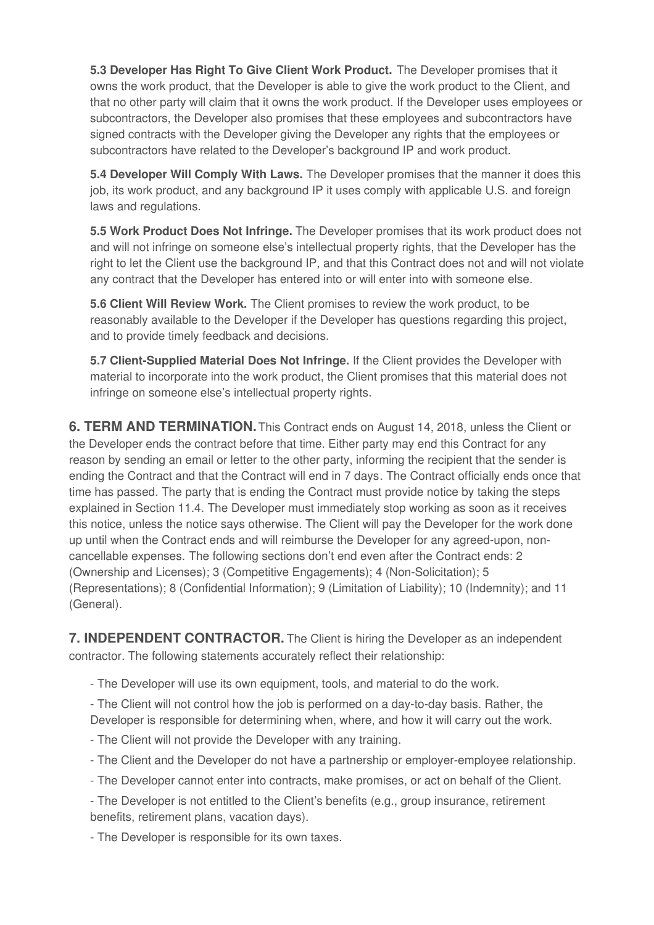**5.3 Developer Has Right To Give Client Work Product.** The Developer promises that it owns the work product, that the Developer is able to give the work product to the Client, and that no other party will claim that it owns the work product. If the Developer uses employees or subcontractors, the Developer also promises that these employees and subcontractors have signed contracts with the Developer giving the Developer any rights that the employees or subcontractors have related to the Developer's background IP and work product.

**5.4 Developer Will Comply With Laws.** The Developer promises that the manner it does this job, its work product, and any background IP it uses comply with applicable U.S. and foreign laws and regulations.

**5.5 Work Product Does Not Infringe.** The Developer promises that its work product does not and will not infringe on someone else's intellectual property rights, that the Developer has the right to let the Client use the background IP, and that this Contract does not and will not violate any contract that the Developer has entered into or will enter into with someone else.

**5.6 Client Will Review Work.** The Client promises to review the work product, to be reasonably available to the Developer if the Developer has questions regarding this project, and to provide timely feedback and decisions.

**5.7 Client-Supplied Material Does Not Infringe.** If the Client provides the Developer with material to incorporate into the work product, the Client promises that this material does not infringe on someone else's intellectual property rights.

**6. TERM AND TERMINATION.**This Contract ends on August 14, 2018, unless the Client or the Developer ends the contract before that time. Either party may end this Contract for any reason by sending an email or letter to the other party, informing the recipient that the sender is ending the Contract and that the Contract will end in 7 days. The Contract officially ends once that time has passed. The party that is ending the Contract must provide notice by taking the steps explained in Section 11.4. The Developer must immediately stop working as soon as it receives this notice, unless the notice says otherwise. The Client will pay the Developer for the work done up until when the Contract ends and will reimburse the Developer for any agreed-upon, noncancellable expenses. The following sections don't end even after the Contract ends: 2 (Ownership and Licenses); 3 (Competitive Engagements); 4 (Non-Solicitation); 5 (Representations); 8 (Confidential Information); 9 (Limitation of Liability); 10 (Indemnity); and 11 (General).

**7. INDEPENDENT CONTRACTOR.** The Client is hiring the Developer as an independent contractor. The following statements accurately reflect their relationship:

- The Developer will use its own equipment, tools, and material to do the work.

- The Client will not control how the job is performed on a day-to-day basis. Rather, the Developer is responsible for determining when, where, and how it will carry out the work.

- The Client will not provide the Developer with any training.
- The Client and the Developer do not have a partnership or employer-employee relationship.
- The Developer cannot enter into contracts, make promises, or act on behalf of the Client.
- The Developer is not entitled to the Client's benefits (e.g., group insurance, retirement benefits, retirement plans, vacation days).

- The Developer is responsible for its own taxes.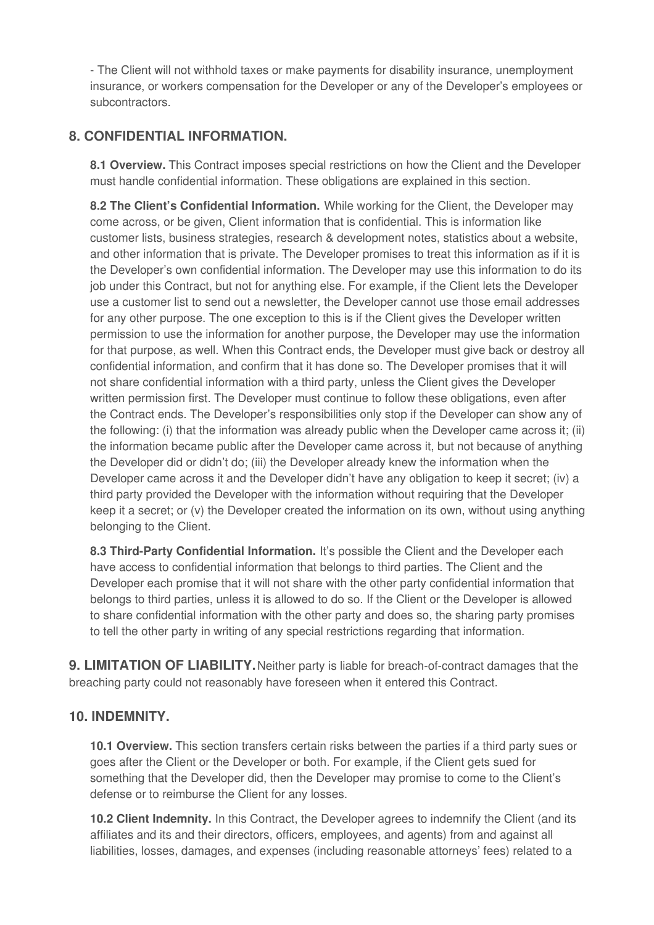- The Client will not withhold taxes or make payments for disability insurance, unemployment insurance, or workers compensation for the Developer or any of the Developer's employees or subcontractors.

# **8. CONFIDENTIAL INFORMATION.**

**8.1 Overview.** This Contract imposes special restrictions on how the Client and the Developer must handle confidential information. These obligations are explained in this section.

**8.2 The Client's Confidential Information.** While working for the Client, the Developer may come across, or be given, Client information that is confidential. This is information like customer lists, business strategies, research & development notes, statistics about a website, and other information that is private. The Developer promises to treat this information as if it is the Developer's own confidential information. The Developer may use this information to do its job under this Contract, but not for anything else. For example, if the Client lets the Developer use a customer list to send out a newsletter, the Developer cannot use those email addresses for any other purpose. The one exception to this is if the Client gives the Developer written permission to use the information for another purpose, the Developer may use the information for that purpose, as well. When this Contract ends, the Developer must give back or destroy all confidential information, and confirm that it has done so. The Developer promises that it will not share confidential information with a third party, unless the Client gives the Developer written permission first. The Developer must continue to follow these obligations, even after the Contract ends. The Developer's responsibilities only stop if the Developer can show any of the following: (i) that the information was already public when the Developer came across it; (ii) the information became public after the Developer came across it, but not because of anything the Developer did or didn't do; (iii) the Developer already knew the information when the Developer came across it and the Developer didn't have any obligation to keep it secret; (iv) a third party provided the Developer with the information without requiring that the Developer keep it a secret; or (v) the Developer created the information on its own, without using anything belonging to the Client.

**8.3 Third-Party Confidential Information.** It's possible the Client and the Developer each have access to confidential information that belongs to third parties. The Client and the Developer each promise that it will not share with the other party confidential information that belongs to third parties, unless it is allowed to do so. If the Client or the Developer is allowed to share confidential information with the other party and does so, the sharing party promises to tell the other party in writing of any special restrictions regarding that information.

**9. LIMITATION OF LIABILITY.**Neither party is liable for breach-of-contract damages that the breaching party could not reasonably have foreseen when it entered this Contract.

# **10. INDEMNITY.**

**10.1 Overview.** This section transfers certain risks between the parties if a third party sues or goes after the Client or the Developer or both. For example, if the Client gets sued for something that the Developer did, then the Developer may promise to come to the Client's defense or to reimburse the Client for any losses.

**10.2 Client Indemnity.** In this Contract, the Developer agrees to indemnify the Client (and its affiliates and its and their directors, officers, employees, and agents) from and against all liabilities, losses, damages, and expenses (including reasonable attorneys' fees) related to a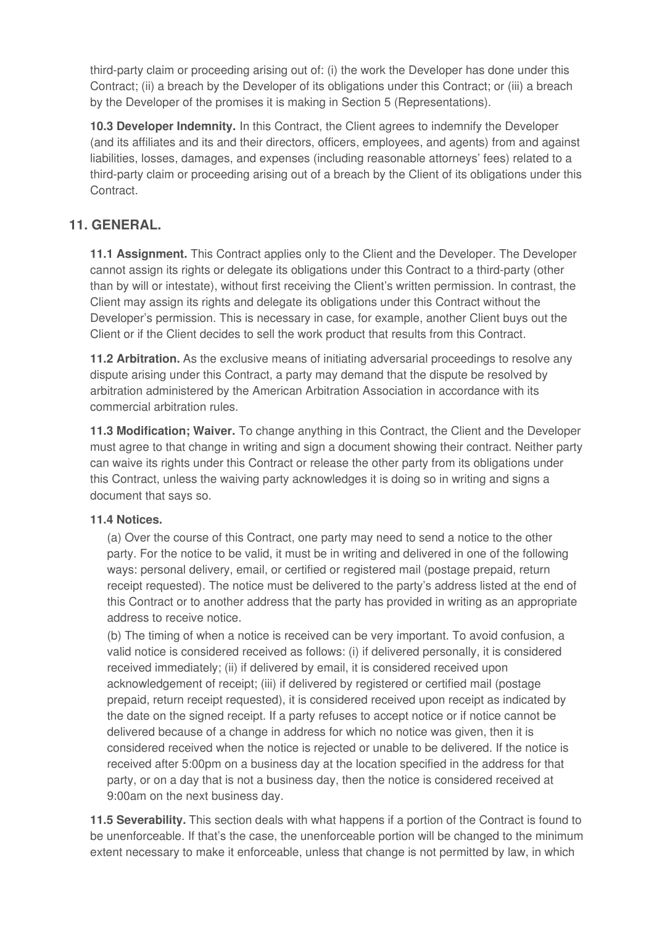third-party claim or proceeding arising out of: (i) the work the Developer has done under this Contract; (ii) a breach by the Developer of its obligations under this Contract; or (iii) a breach by the Developer of the promises it is making in Section 5 (Representations).

**10.3 Developer Indemnity.** In this Contract, the Client agrees to indemnify the Developer (and its affiliates and its and their directors, officers, employees, and agents) from and against liabilities, losses, damages, and expenses (including reasonable attorneys' fees) related to a third-party claim or proceeding arising out of a breach by the Client of its obligations under this Contract.

# **11. GENERAL.**

**11.1 Assignment.** This Contract applies only to the Client and the Developer. The Developer cannot assign its rights or delegate its obligations under this Contract to a third-party (other than by will or intestate), without first receiving the Client's written permission. In contrast, the Client may assign its rights and delegate its obligations under this Contract without the Developer's permission. This is necessary in case, for example, another Client buys out the Client or if the Client decides to sell the work product that results from this Contract.

**11.2 Arbitration.** As the exclusive means of initiating adversarial proceedings to resolve any dispute arising under this Contract, a party may demand that the dispute be resolved by arbitration administered by the American Arbitration Association in accordance with its commercial arbitration rules.

**11.3 Modification; Waiver.** To change anything in this Contract, the Client and the Developer must agree to that change in writing and sign a document showing their contract. Neither party can waive its rights under this Contract or release the other party from its obligations under this Contract, unless the waiving party acknowledges it is doing so in writing and signs a document that says so.

#### **11.4 Notices.**

(a) Over the course of this Contract, one party may need to send a notice to the other party. For the notice to be valid, it must be in writing and delivered in one of the following ways: personal delivery, email, or certified or registered mail (postage prepaid, return receipt requested). The notice must be delivered to the party's address listed at the end of this Contract or to another address that the party has provided in writing as an appropriate address to receive notice.

(b) The timing of when a notice is received can be very important. To avoid confusion, a valid notice is considered received as follows: (i) if delivered personally, it is considered received immediately; (ii) if delivered by email, it is considered received upon acknowledgement of receipt; (iii) if delivered by registered or certified mail (postage prepaid, return receipt requested), it is considered received upon receipt as indicated by the date on the signed receipt. If a party refuses to accept notice or if notice cannot be delivered because of a change in address for which no notice was given, then it is considered received when the notice is rejected or unable to be delivered. If the notice is received after 5:00pm on a business day at the location specified in the address for that party, or on a day that is not a business day, then the notice is considered received at 9:00am on the next business day.

**11.5 Severability.** This section deals with what happens if a portion of the Contract is found to be unenforceable. If that's the case, the unenforceable portion will be changed to the minimum extent necessary to make it enforceable, unless that change is not permitted by law, in which